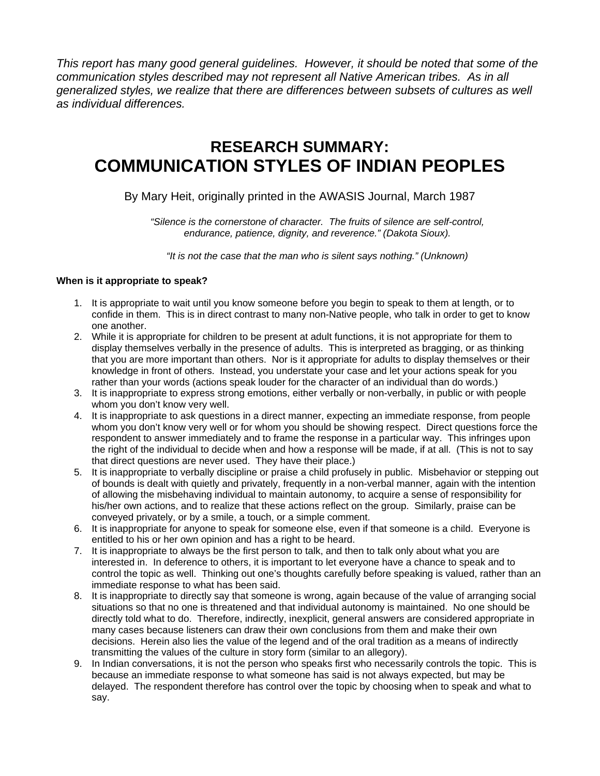*This report has many good general guidelines. However, it should be noted that some of the communication styles described may not represent all Native American tribes. As in all generalized styles, we realize that there are differences between subsets of cultures as well as individual differences.*

# **RESEARCH SUMMARY: COMMUNICATION STYLES OF INDIAN PEOPLES**

## By Mary Heit, originally printed in the AWASIS Journal, March 1987

*"Silence is the cornerstone of character. The fruits of silence are self-control, endurance, patience, dignity, and reverence." (Dakota Sioux).* 

*"It is not the case that the man who is silent says nothing." (Unknown)* 

### **When is it appropriate to speak?**

- 1. It is appropriate to wait until you know someone before you begin to speak to them at length, or to confide in them. This is in direct contrast to many non-Native people, who talk in order to get to know one another.
- 2. While it is appropriate for children to be present at adult functions, it is not appropriate for them to display themselves verbally in the presence of adults. This is interpreted as bragging, or as thinking that you are more important than others. Nor is it appropriate for adults to display themselves or their knowledge in front of others. Instead, you understate your case and let your actions speak for you rather than your words (actions speak louder for the character of an individual than do words.)
- 3. It is inappropriate to express strong emotions, either verbally or non-verbally, in public or with people whom you don't know very well.
- 4. It is inappropriate to ask questions in a direct manner, expecting an immediate response, from people whom you don't know very well or for whom you should be showing respect. Direct questions force the respondent to answer immediately and to frame the response in a particular way. This infringes upon the right of the individual to decide when and how a response will be made, if at all. (This is not to say that direct questions are never used. They have their place.)
- 5. It is inappropriate to verbally discipline or praise a child profusely in public. Misbehavior or stepping out of bounds is dealt with quietly and privately, frequently in a non-verbal manner, again with the intention of allowing the misbehaving individual to maintain autonomy, to acquire a sense of responsibility for his/her own actions, and to realize that these actions reflect on the group. Similarly, praise can be conveyed privately, or by a smile, a touch, or a simple comment.
- 6. It is inappropriate for anyone to speak for someone else, even if that someone is a child. Everyone is entitled to his or her own opinion and has a right to be heard.
- 7. It is inappropriate to always be the first person to talk, and then to talk only about what you are interested in. In deference to others, it is important to let everyone have a chance to speak and to control the topic as well. Thinking out one's thoughts carefully before speaking is valued, rather than an immediate response to what has been said.
- 8. It is inappropriate to directly say that someone is wrong, again because of the value of arranging social situations so that no one is threatened and that individual autonomy is maintained. No one should be directly told what to do. Therefore, indirectly, inexplicit, general answers are considered appropriate in many cases because listeners can draw their own conclusions from them and make their own decisions. Herein also lies the value of the legend and of the oral tradition as a means of indirectly transmitting the values of the culture in story form (similar to an allegory).
- 9. In Indian conversations, it is not the person who speaks first who necessarily controls the topic. This is because an immediate response to what someone has said is not always expected, but may be delayed. The respondent therefore has control over the topic by choosing when to speak and what to say.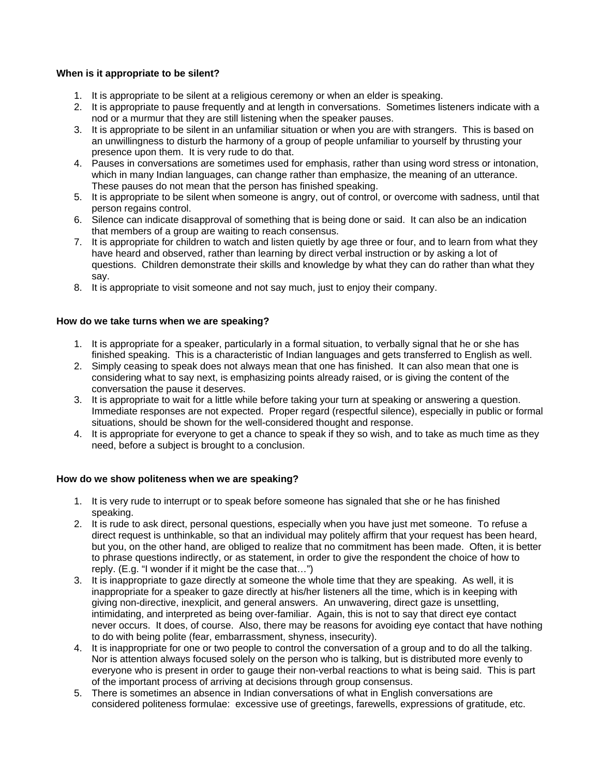#### **When is it appropriate to be silent?**

- 1. It is appropriate to be silent at a religious ceremony or when an elder is speaking.
- 2. It is appropriate to pause frequently and at length in conversations. Sometimes listeners indicate with a nod or a murmur that they are still listening when the speaker pauses.
- 3. It is appropriate to be silent in an unfamiliar situation or when you are with strangers. This is based on an unwillingness to disturb the harmony of a group of people unfamiliar to yourself by thrusting your presence upon them. It is very rude to do that.
- 4. Pauses in conversations are sometimes used for emphasis, rather than using word stress or intonation, which in many Indian languages, can change rather than emphasize, the meaning of an utterance. These pauses do not mean that the person has finished speaking.
- 5. It is appropriate to be silent when someone is angry, out of control, or overcome with sadness, until that person regains control.
- 6. Silence can indicate disapproval of something that is being done or said. It can also be an indication that members of a group are waiting to reach consensus.
- 7. It is appropriate for children to watch and listen quietly by age three or four, and to learn from what they have heard and observed, rather than learning by direct verbal instruction or by asking a lot of questions. Children demonstrate their skills and knowledge by what they can do rather than what they say.
- 8. It is appropriate to visit someone and not say much, just to enjoy their company.

#### **How do we take turns when we are speaking?**

- 1. It is appropriate for a speaker, particularly in a formal situation, to verbally signal that he or she has finished speaking. This is a characteristic of Indian languages and gets transferred to English as well.
- 2. Simply ceasing to speak does not always mean that one has finished. It can also mean that one is considering what to say next, is emphasizing points already raised, or is giving the content of the conversation the pause it deserves.
- 3. It is appropriate to wait for a little while before taking your turn at speaking or answering a question. Immediate responses are not expected. Proper regard (respectful silence), especially in public or formal situations, should be shown for the well-considered thought and response.
- 4. It is appropriate for everyone to get a chance to speak if they so wish, and to take as much time as they need, before a subject is brought to a conclusion.

#### **How do we show politeness when we are speaking?**

- 1. It is very rude to interrupt or to speak before someone has signaled that she or he has finished speaking.
- 2. It is rude to ask direct, personal questions, especially when you have just met someone. To refuse a direct request is unthinkable, so that an individual may politely affirm that your request has been heard, but you, on the other hand, are obliged to realize that no commitment has been made. Often, it is better to phrase questions indirectly, or as statement, in order to give the respondent the choice of how to reply. (E.g. "I wonder if it might be the case that…")
- 3. It is inappropriate to gaze directly at someone the whole time that they are speaking. As well, it is inappropriate for a speaker to gaze directly at his/her listeners all the time, which is in keeping with giving non-directive, inexplicit, and general answers. An unwavering, direct gaze is unsettling, intimidating, and interpreted as being over-familiar. Again, this is not to say that direct eye contact never occurs. It does, of course. Also, there may be reasons for avoiding eye contact that have nothing to do with being polite (fear, embarrassment, shyness, insecurity).
- 4. It is inappropriate for one or two people to control the conversation of a group and to do all the talking. Nor is attention always focused solely on the person who is talking, but is distributed more evenly to everyone who is present in order to gauge their non-verbal reactions to what is being said. This is part of the important process of arriving at decisions through group consensus.
- 5. There is sometimes an absence in Indian conversations of what in English conversations are considered politeness formulae: excessive use of greetings, farewells, expressions of gratitude, etc.